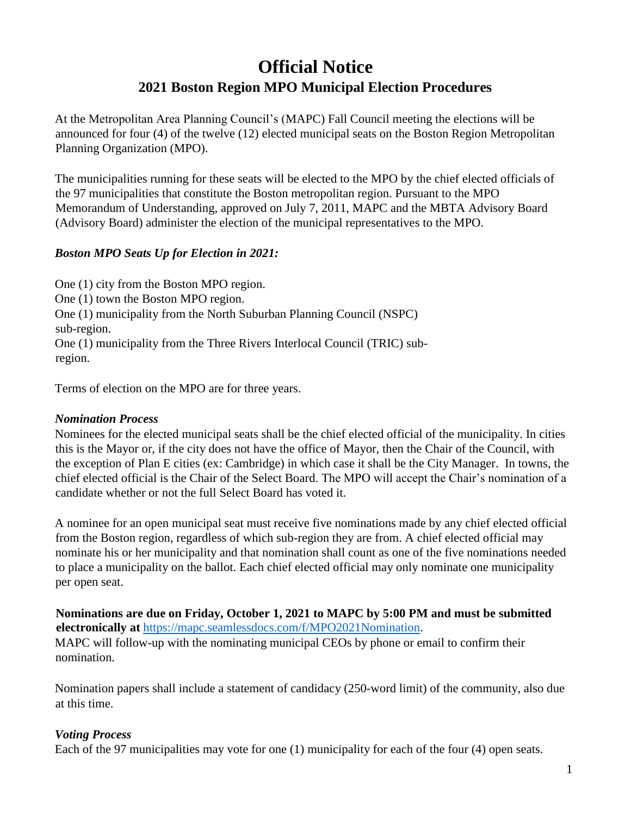### **Official Notice 2021 Boston Region MPO Municipal Election Procedures**

At the Metropolitan Area Planning Council's (MAPC) Fall Council meeting the elections will be announced for four (4) of the twelve (12) elected municipal seats on the Boston Region Metropolitan Planning Organization (MPO).

The municipalities running for these seats will be elected to the MPO by the chief elected officials of the 97 municipalities that constitute the Boston metropolitan region. Pursuant to the MPO Memorandum of Understanding, approved on July 7, 2011, MAPC and the MBTA Advisory Board (Advisory Board) administer the election of the municipal representatives to the MPO.

### *Boston MPO Seats Up for Election in 2021:*

One (1) city from the Boston MPO region. One (1) town the Boston MPO region. One (1) municipality from the North Suburban Planning Council (NSPC) sub-region. One (1) municipality from the Three Rivers Interlocal Council (TRIC) subregion.

Terms of election on the MPO are for three years.

### *Nomination Process*

Nominees for the elected municipal seats shall be the chief elected official of the municipality. In cities this is the Mayor or, if the city does not have the office of Mayor, then the Chair of the Council, with the exception of Plan E cities (ex: Cambridge) in which case it shall be the City Manager. In towns, the chief elected official is the Chair of the Select Board. The MPO will accept the Chair's nomination of a candidate whether or not the full Select Board has voted it.

A nominee for an open municipal seat must receive five nominations made by any chief elected official from the Boston region, regardless of which sub-region they are from. A chief elected official may nominate his or her municipality and that nomination shall count as one of the five nominations needed to place a municipality on the ballot. Each chief elected official may only nominate one municipality per open seat.

**Nominations are due on Friday, October 1, 2021 to MAPC by 5:00 PM and must be submitted electronically at** [https://mapc.seamlessdocs.com/f/MPO2021Nomination.](https://mapc.seamlessdocs.com/f/MPO2021Nomination) MAPC will follow-up with the nominating municipal CEOs by phone or email to confirm their nomination.

Nomination papers shall include a statement of candidacy (250-word limit) of the community, also due at this time.

### *Voting Process*

Each of the 97 municipalities may vote for one (1) municipality for each of the four (4) open seats.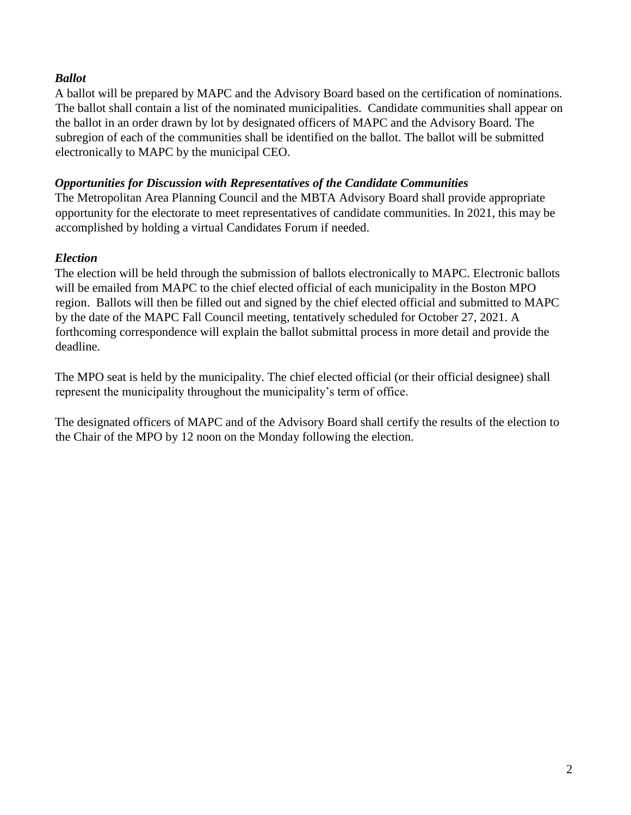### *Ballot*

A ballot will be prepared by MAPC and the Advisory Board based on the certification of nominations. The ballot shall contain a list of the nominated municipalities. Candidate communities shall appear on the ballot in an order drawn by lot by designated officers of MAPC and the Advisory Board. The subregion of each of the communities shall be identified on the ballot. The ballot will be submitted electronically to MAPC by the municipal CEO.

### *Opportunities for Discussion with Representatives of the Candidate Communities*

The Metropolitan Area Planning Council and the MBTA Advisory Board shall provide appropriate opportunity for the electorate to meet representatives of candidate communities. In 2021, this may be accomplished by holding a virtual Candidates Forum if needed.

### *Election*

The election will be held through the submission of ballots electronically to MAPC. Electronic ballots will be emailed from MAPC to the chief elected official of each municipality in the Boston MPO region. Ballots will then be filled out and signed by the chief elected official and submitted to MAPC by the date of the MAPC Fall Council meeting, tentatively scheduled for October 27, 2021. A forthcoming correspondence will explain the ballot submittal process in more detail and provide the deadline.

The MPO seat is held by the municipality. The chief elected official (or their official designee) shall represent the municipality throughout the municipality's term of office.

The designated officers of MAPC and of the Advisory Board shall certify the results of the election to the Chair of the MPO by 12 noon on the Monday following the election.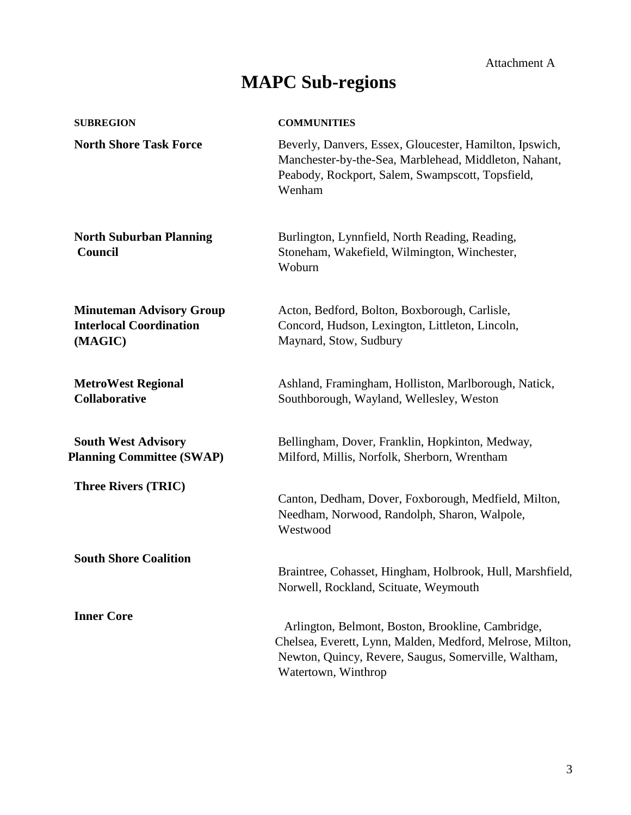# **MAPC Sub-regions**

| <b>SUBREGION</b>                                                             | <b>COMMUNITIES</b>                                                                                                                                                                            |  |  |
|------------------------------------------------------------------------------|-----------------------------------------------------------------------------------------------------------------------------------------------------------------------------------------------|--|--|
| <b>North Shore Task Force</b>                                                | Beverly, Danvers, Essex, Gloucester, Hamilton, Ipswich,<br>Manchester-by-the-Sea, Marblehead, Middleton, Nahant,<br>Peabody, Rockport, Salem, Swampscott, Topsfield,<br>Wenham                |  |  |
| <b>North Suburban Planning</b><br>Council                                    | Burlington, Lynnfield, North Reading, Reading,<br>Stoneham, Wakefield, Wilmington, Winchester,<br>Woburn                                                                                      |  |  |
| <b>Minuteman Advisory Group</b><br><b>Interlocal Coordination</b><br>(MAGIC) | Acton, Bedford, Bolton, Boxborough, Carlisle,<br>Concord, Hudson, Lexington, Littleton, Lincoln,<br>Maynard, Stow, Sudbury                                                                    |  |  |
| <b>MetroWest Regional</b><br><b>Collaborative</b>                            | Ashland, Framingham, Holliston, Marlborough, Natick,<br>Southborough, Wayland, Wellesley, Weston                                                                                              |  |  |
| <b>South West Advisory</b><br><b>Planning Committee (SWAP)</b>               | Bellingham, Dover, Franklin, Hopkinton, Medway,<br>Milford, Millis, Norfolk, Sherborn, Wrentham                                                                                               |  |  |
| <b>Three Rivers (TRIC)</b>                                                   | Canton, Dedham, Dover, Foxborough, Medfield, Milton,<br>Needham, Norwood, Randolph, Sharon, Walpole,<br>Westwood                                                                              |  |  |
| <b>South Shore Coalition</b>                                                 | Braintree, Cohasset, Hingham, Holbrook, Hull, Marshfield,<br>Norwell, Rockland, Scituate, Weymouth                                                                                            |  |  |
| <b>Inner Core</b>                                                            | Arlington, Belmont, Boston, Brookline, Cambridge,<br>Chelsea, Everett, Lynn, Malden, Medford, Melrose, Milton,<br>Newton, Quincy, Revere, Saugus, Somerville, Waltham,<br>Watertown, Winthrop |  |  |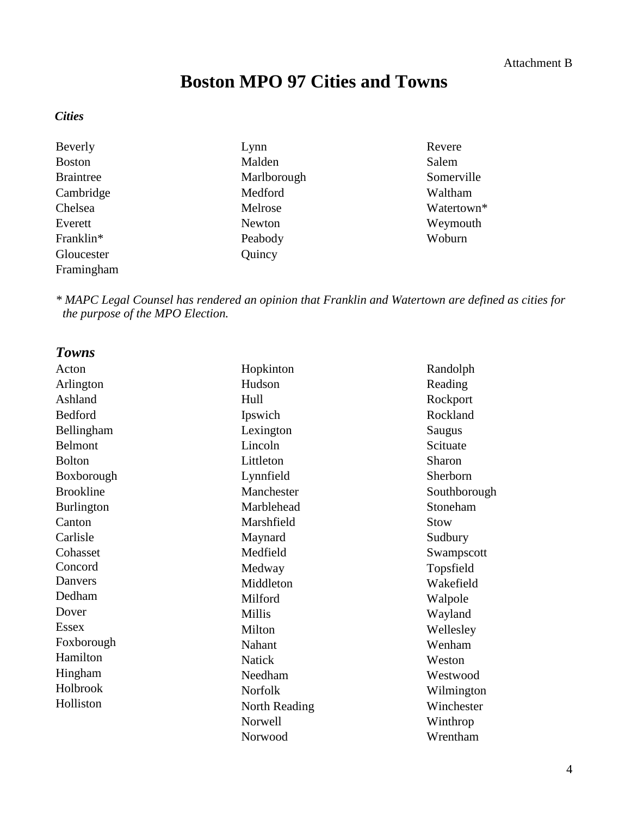# **Boston MPO 97 Cities and Towns**

#### *Cities*

| Beverly          | Lynn          | Revere     |
|------------------|---------------|------------|
| <b>Boston</b>    | Malden        | Salem      |
| <b>Braintree</b> | Marlborough   | Somerville |
| Cambridge        | Medford       | Waltham    |
| Chelsea          | Melrose       | Watertown* |
| Everett          | <b>Newton</b> | Weymouth   |
| Franklin*        | Peabody       | Woburn     |
| Gloucester       | Quincy        |            |
| Framingham       |               |            |

*\* MAPC Legal Counsel has rendered an opinion that Franklin and Watertown are defined as cities for the purpose of the MPO Election.*

| <b>Towns</b>      |                |              |
|-------------------|----------------|--------------|
| Acton             | Hopkinton      | Randolph     |
| Arlington         | Hudson         | Reading      |
| Ashland           | Hull           | Rockport     |
| Bedford           | Ipswich        | Rockland     |
| Bellingham        | Lexington      | Saugus       |
| Belmont           | Lincoln        | Scituate     |
| <b>Bolton</b>     | Littleton      | Sharon       |
| Boxborough        | Lynnfield      | Sherborn     |
| <b>Brookline</b>  | Manchester     | Southborough |
| <b>Burlington</b> | Marblehead     | Stoneham     |
| Canton            | Marshfield     | Stow         |
| Carlisle          | Maynard        | Sudbury      |
| Cohasset          | Medfield       | Swampscott   |
| Concord           | Medway         | Topsfield    |
| Danvers           | Middleton      | Wakefield    |
| Dedham            | Milford        | Walpole      |
| Dover             | <b>Millis</b>  | Wayland      |
| Essex             | Milton         | Wellesley    |
| Foxborough        | Nahant         | Wenham       |
| Hamilton          | <b>Natick</b>  | Weston       |
| Hingham           | Needham        | Westwood     |
| Holbrook          | <b>Norfolk</b> | Wilmington   |
| Holliston         | North Reading  | Winchester   |
|                   | Norwell        | Winthrop     |
|                   | Norwood        | Wrentham     |